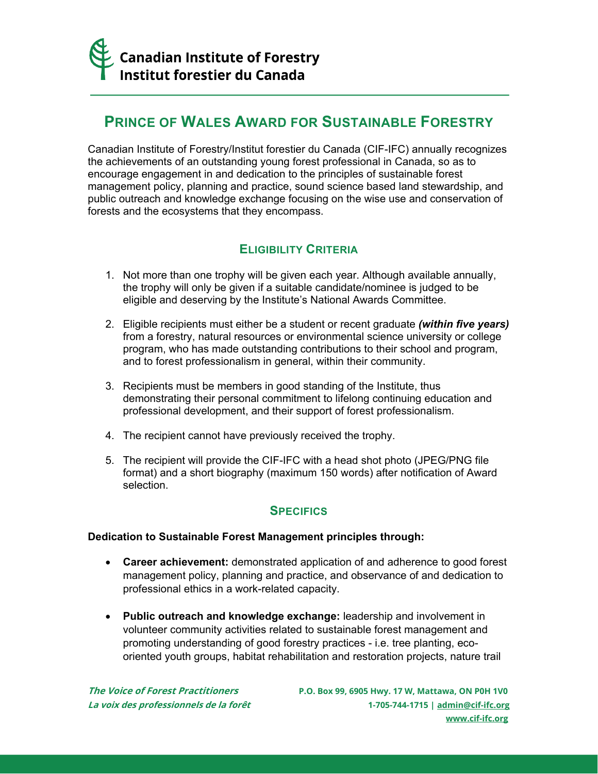

# **PRINCE OF WALES AWARD FOR SUSTAINABLE FORESTRY**

Canadian Institute of Forestry/Institut forestier du Canada (CIF-IFC) annually recognizes the achievements of an outstanding young forest professional in Canada, so as to encourage engagement in and dedication to the principles of sustainable forest management policy, planning and practice, sound science based land stewardship, and public outreach and knowledge exchange focusing on the wise use and conservation of forests and the ecosystems that they encompass.

## **ELIGIBILITY CRITERIA**

- 1. Not more than one trophy will be given each year. Although available annually, the trophy will only be given if a suitable candidate/nominee is judged to be eligible and deserving by the Institute's National Awards Committee.
- 2. Eligible recipients must either be a student or recent graduate *(within five years)* from a forestry, natural resources or environmental science university or college program, who has made outstanding contributions to their school and program, and to forest professionalism in general, within their community.
- 3. Recipients must be members in good standing of the Institute, thus demonstrating their personal commitment to lifelong continuing education and professional development, and their support of forest professionalism.
- 4. The recipient cannot have previously received the trophy.
- 5. The recipient will provide the CIF-IFC with a head shot photo (JPEG/PNG file format) and a short biography (maximum 150 words) after notification of Award selection.

### **SPECIFICS**

### **Dedication to Sustainable Forest Management principles through:**

- **Career achievement:** demonstrated application of and adherence to good forest management policy, planning and practice, and observance of and dedication to professional ethics in a work-related capacity.
- **Public outreach and knowledge exchange:** leadership and involvement in volunteer community activities related to sustainable forest management and promoting understanding of good forestry practices - i.e. tree planting, ecooriented youth groups, habitat rehabilitation and restoration projects, nature trail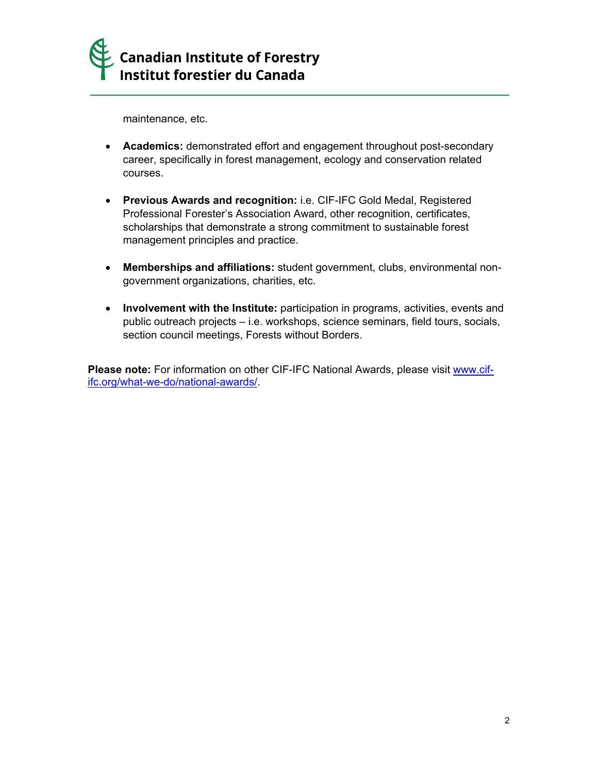

maintenance, etc.

- **Academics:** demonstrated effort and engagement throughout post-secondary career, specifically in forest management, ecology and conservation related courses.
- **Previous Awards and recognition:** i.e. CIF-IFC Gold Medal, Registered Professional Forester's Association Award, other recognition, certificates, scholarships that demonstrate a strong commitment to sustainable forest management principles and practice.
- **Memberships and affiliations:** student government, clubs, environmental nongovernment organizations, charities, etc.
- **Involvement with the Institute:** participation in programs, activities, events and public outreach projects – i.e. workshops, science seminars, field tours, socials, section council meetings, Forests without Borders.

**Please note:** For information on other CIF-IFC National Awards, please visit [www.cif](http://www.cif-ifc.org/what-we-do/national-awards/)[ifc.org/what-we-do/national-awards/.](http://www.cif-ifc.org/what-we-do/national-awards/)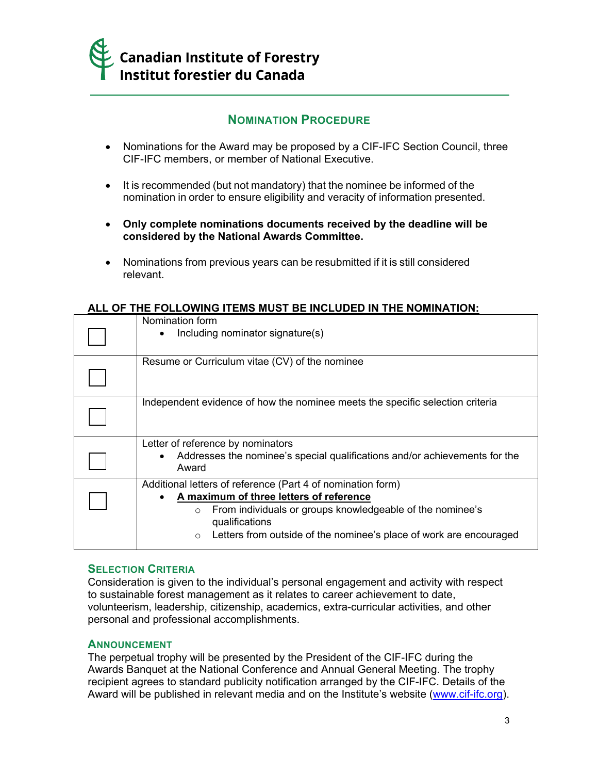

### **NOMINATION PROCEDURE**

- Nominations for the Award may be proposed by a CIF-IFC Section Council, three CIF-IFC members, or member of National Executive.
- It is recommended (but not mandatory) that the nominee be informed of the nomination in order to ensure eligibility and veracity of information presented.
- **Only complete nominations documents received by the deadline will be considered by the National Awards Committee.**
- Nominations from previous years can be resubmitted if it is still considered relevant.

### **ALL OF THE FOLLOWING ITEMS MUST BE INCLUDED IN THE NOMINATION:**

| Nomination form<br>Including nominator signature(s)                                                                                                                                                                                                                               |
|-----------------------------------------------------------------------------------------------------------------------------------------------------------------------------------------------------------------------------------------------------------------------------------|
| Resume or Curriculum vitae (CV) of the nominee                                                                                                                                                                                                                                    |
| Independent evidence of how the nominee meets the specific selection criteria                                                                                                                                                                                                     |
| Letter of reference by nominators<br>Addresses the nominee's special qualifications and/or achievements for the<br>Award                                                                                                                                                          |
| Additional letters of reference (Part 4 of nomination form)<br>A maximum of three letters of reference<br>From individuals or groups knowledgeable of the nominee's<br>$\circ$<br>qualifications<br>Letters from outside of the nominee's place of work are encouraged<br>$\circ$ |

#### **SELECTION CRITERIA**

Consideration is given to the individual's personal engagement and activity with respect to sustainable forest management as it relates to career achievement to date, volunteerism, leadership, citizenship, academics, extra-curricular activities, and other personal and professional accomplishments.

#### **ANNOUNCEMENT**

The perpetual trophy will be presented by the President of the CIF-IFC during the Awards Banquet at the National Conference and Annual General Meeting. The trophy recipient agrees to standard publicity notification arranged by the CIF-IFC. Details of the Award will be published in relevant media and on the Institute's website [\(www.cif-ifc.org\)](http://www.cif-ifc.org/).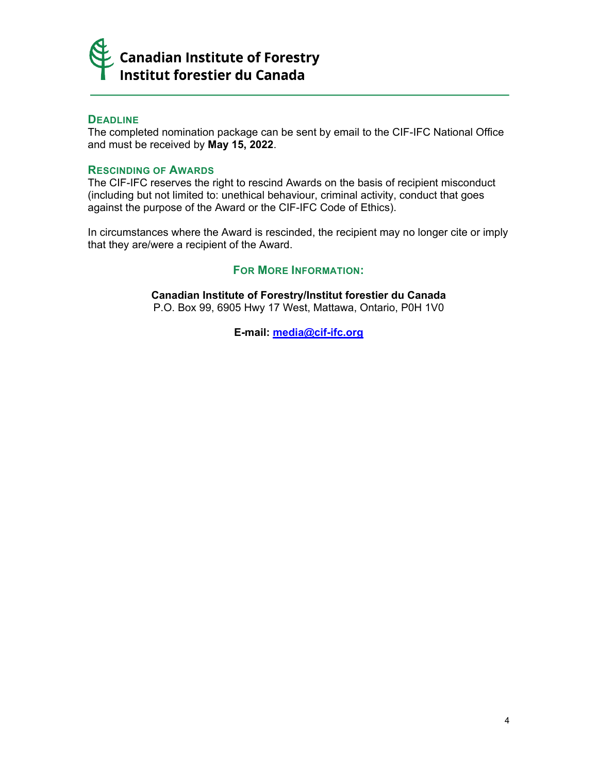

### **DEADLINE**

The completed nomination package can be sent by email to the CIF-IFC National Office and must be received by **May 15, 2022**.

#### **RESCINDING OF AWARDS**

The CIF-IFC reserves the right to rescind Awards on the basis of recipient misconduct (including but not limited to: unethical behaviour, criminal activity, conduct that goes against the purpose of the Award or the CIF-IFC Code of Ethics).

In circumstances where the Award is rescinded, the recipient may no longer cite or imply that they are/were a recipient of the Award.

### **FOR MORE INFORMATION:**

**Canadian Institute of Forestry/Institut forestier du Canada** P.O. Box 99, 6905 Hwy 17 West, Mattawa, Ontario, P0H 1V0

**E-mail: [media@cif-ifc.org](mailto:media@cif-ifc.org)**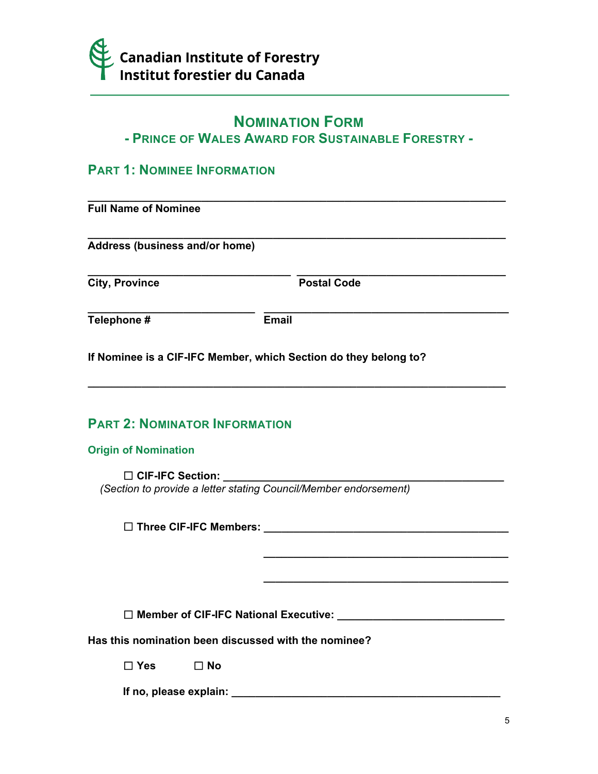

# **NOMINATION FORM**

# **- PRINCE OF WALES AWARD FOR SUSTAINABLE FORESTRY -**

## **PART 1: NOMINEE INFORMATION**

| <b>Full Name of Nominee</b>    |                    |  |
|--------------------------------|--------------------|--|
| Address (business and/or home) |                    |  |
| <b>City, Province</b>          | <b>Postal Code</b> |  |
| Telephone #                    | <b>Email</b>       |  |

**\_\_\_\_\_\_\_\_\_\_\_\_\_\_\_\_\_\_\_\_\_\_\_\_\_\_\_\_\_\_\_\_\_\_\_\_\_\_\_\_\_\_\_\_\_\_\_\_\_\_\_\_\_\_\_\_\_\_\_\_\_\_\_\_\_\_\_\_\_\_**

**\_\_\_\_\_\_\_\_\_\_\_\_\_\_\_\_\_\_\_\_\_\_\_\_\_\_\_\_\_\_\_\_\_\_\_\_\_\_\_\_\_**

**\_\_\_\_\_\_\_\_\_\_\_\_\_\_\_\_\_\_\_\_\_\_\_\_\_\_\_\_\_\_\_\_\_\_\_\_\_\_\_\_\_**

**If Nominee is a CIF-IFC Member, which Section do they belong to?**

## **PART 2: NOMINATOR INFORMATION**

**Origin of Nomination**

☐ **CIF-IFC Section: \_\_\_\_\_\_\_\_\_\_\_\_\_\_\_\_\_\_\_\_\_\_\_\_\_\_\_\_\_\_\_\_\_\_\_\_\_\_\_\_\_\_\_\_\_\_\_**  *(Section to provide a letter stating Council/Member endorsement)*

☐ **Three CIF-IFC Members: \_\_\_\_\_\_\_\_\_\_\_\_\_\_\_\_\_\_\_\_\_\_\_\_\_\_\_\_\_\_\_\_\_\_\_\_\_\_\_\_\_**

☐ **Member of CIF-IFC National Executive: \_\_\_\_\_\_\_\_\_\_\_\_\_\_\_\_\_\_\_\_\_\_\_\_\_\_\_\_**

**Has this nomination been discussed with the nominee?** 

☐ **Yes** ☐ **No**

**If no, please explain: \_\_\_\_\_\_\_\_\_\_\_\_\_\_\_\_\_\_\_\_\_\_\_\_\_\_\_\_\_\_\_\_\_\_\_\_\_\_\_\_\_\_\_\_\_**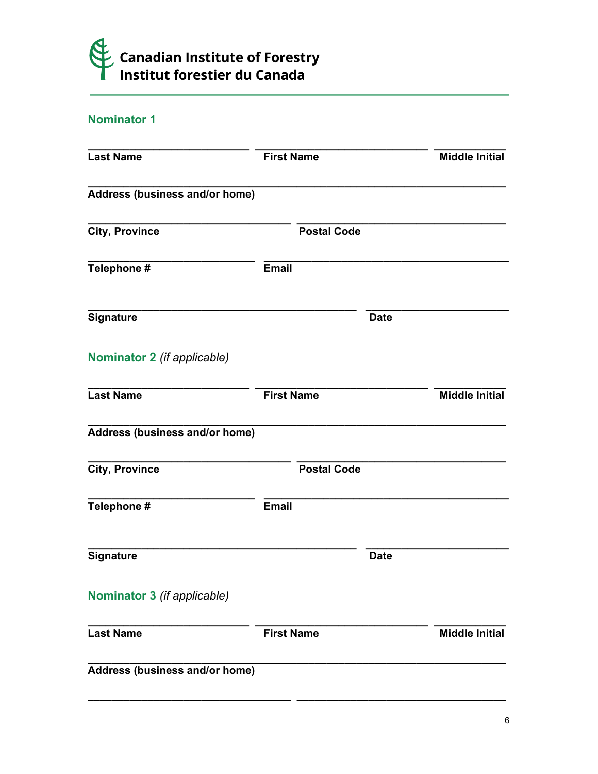

## Nominator 1

| <b>Last Name</b>               | <b>First Name</b>  |             | <b>Middle Initial</b> |
|--------------------------------|--------------------|-------------|-----------------------|
| Address (business and/or home) |                    |             |                       |
| <b>City, Province</b>          | <b>Postal Code</b> |             |                       |
| Telephone #                    | <b>Email</b>       |             |                       |
| <b>Signature</b>               |                    | <b>Date</b> |                       |
| Nominator 2 (if applicable)    |                    |             |                       |
| <b>Last Name</b>               | <b>First Name</b>  |             | <b>Middle Initial</b> |
| Address (business and/or home) |                    |             |                       |
| <b>City, Province</b>          | <b>Postal Code</b> |             |                       |
| Telephone #                    | <b>Email</b>       |             |                       |
| <b>Signature</b>               |                    | <b>Date</b> |                       |
| Nominator 3 (if applicable)    |                    |             |                       |
| <b>Last Name</b>               | <b>First Name</b>  |             | <b>Middle Initial</b> |
| Address (business and/or home) |                    |             |                       |